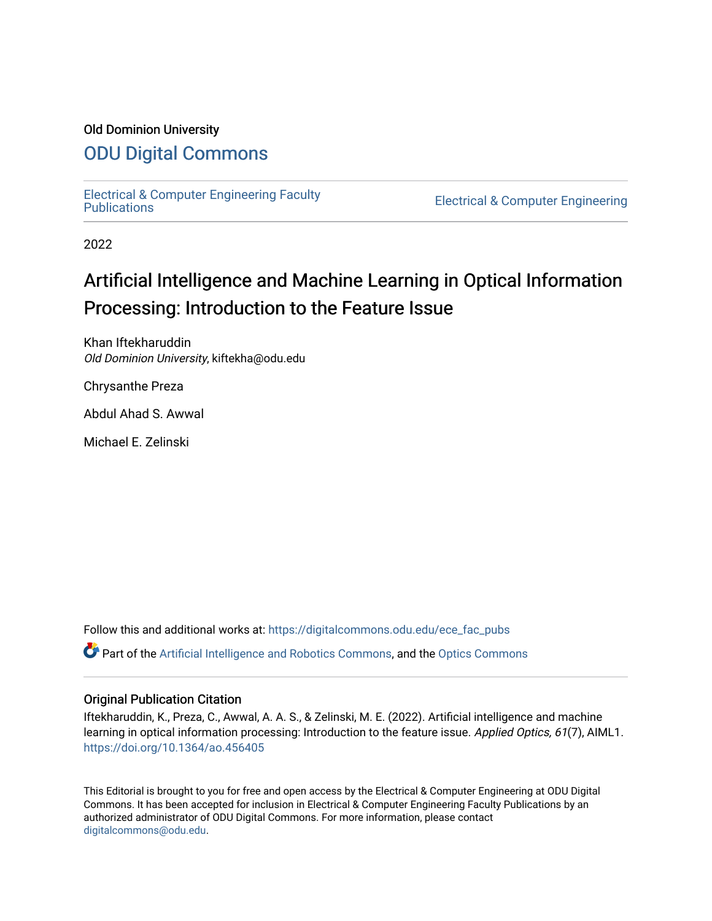#### Old Dominion University

### [ODU Digital Commons](https://digitalcommons.odu.edu/)

[Electrical & Computer Engineering Faculty](https://digitalcommons.odu.edu/ece_fac_pubs) 

**Electrical & Computer Engineering** 

2022

## Artificial Intelligence and Machine Learning in Optical Information Processing: Introduction to the Feature Issue

Khan Iftekharuddin Old Dominion University, kiftekha@odu.edu

Chrysanthe Preza

Abdul Ahad S. Awwal

Michael E. Zelinski

Follow this and additional works at: [https://digitalcommons.odu.edu/ece\\_fac\\_pubs](https://digitalcommons.odu.edu/ece_fac_pubs?utm_source=digitalcommons.odu.edu%2Fece_fac_pubs%2F308&utm_medium=PDF&utm_campaign=PDFCoverPages) 

 $\bullet$  Part of the [Artificial Intelligence and Robotics Commons](http://network.bepress.com/hgg/discipline/143?utm_source=digitalcommons.odu.edu%2Fece_fac_pubs%2F308&utm_medium=PDF&utm_campaign=PDFCoverPages), and the [Optics Commons](http://network.bepress.com/hgg/discipline/204?utm_source=digitalcommons.odu.edu%2Fece_fac_pubs%2F308&utm_medium=PDF&utm_campaign=PDFCoverPages)

#### Original Publication Citation

Iftekharuddin, K., Preza, C., Awwal, A. A. S., & Zelinski, M. E. (2022). Artificial intelligence and machine learning in optical information processing: Introduction to the feature issue. Applied Optics, 61(7), AIML1. <https://doi.org/10.1364/ao.456405>

This Editorial is brought to you for free and open access by the Electrical & Computer Engineering at ODU Digital Commons. It has been accepted for inclusion in Electrical & Computer Engineering Faculty Publications by an authorized administrator of ODU Digital Commons. For more information, please contact [digitalcommons@odu.edu](mailto:digitalcommons@odu.edu).